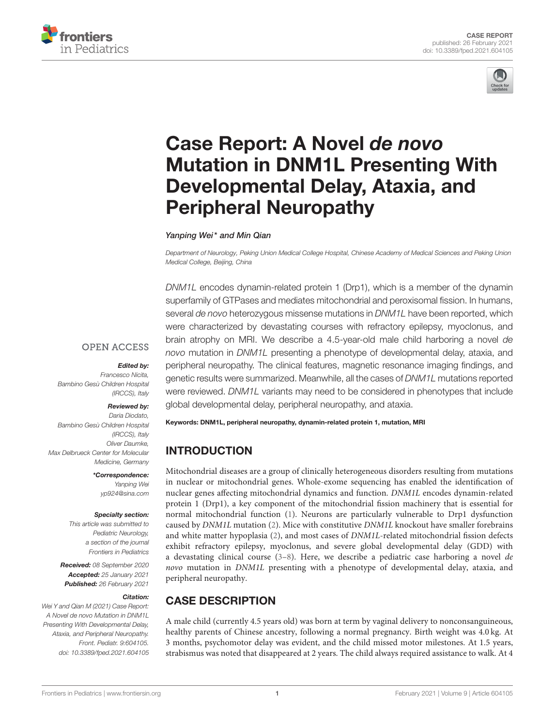



# Case Report: A Novel de novo [Mutation in DNM1L Presenting With](https://www.frontiersin.org/articles/10.3389/fped.2021.604105/full) Developmental Delay, Ataxia, and Peripheral Neuropathy

Yanping Wei\* and Min Qian

Department of Neurology, Peking Union Medical College Hospital, Chinese Academy of Medical Sciences and Peking Union Medical College, Beijing, China

DNM1L encodes dynamin-related protein 1 (Drp1), which is a member of the dynamin superfamily of GTPases and mediates mitochondrial and peroxisomal fission. In humans, several de novo heterozygous missense mutations in DNM1L have been reported, which were characterized by devastating courses with refractory epilepsy, myoclonus, and brain atrophy on MRI. We describe a 4.5-year-old male child harboring a novel de novo mutation in DNM1L presenting a phenotype of developmental delay, ataxia, and peripheral neuropathy. The clinical features, magnetic resonance imaging findings, and genetic results were summarized. Meanwhile, all the cases of DNM1L mutations reported were reviewed. DNM1L variants may need to be considered in phenotypes that include global developmental delay, peripheral neuropathy, and ataxia.

## **OPEN ACCESS**

#### Edited by:

Francesco Nicita, Bambino Gesù Children Hospital (IRCCS), Italy

#### Reviewed by:

Daria Diodato, Bambino Gesù Children Hospital (IRCCS), Italy Oliver Daumke, Max Delbrueck Center for Molecular Medicine, Germany

> \*Correspondence: Yanping Wei [yp924@sina.com](mailto:yp924@sina.com)

#### Specialty section:

This article was submitted to Pediatric Neurology, a section of the journal Frontiers in Pediatrics

Received: 08 September 2020 Accepted: 25 January 2021 Published: 26 February 2021

#### Citation:

Wei Y and Qian M (2021) Case Report: A Novel de novo Mutation in DNM1L Presenting With Developmental Delay, Ataxia, and Peripheral Neuropathy. Front. Pediatr. 9:604105. doi: [10.3389/fped.2021.604105](https://doi.org/10.3389/fped.2021.604105) Keywords: DNM1L, peripheral neuropathy, dynamin-related protein 1, mutation, MRI

# INTRODUCTION

Mitochondrial diseases are a group of clinically heterogeneous disorders resulting from mutations in nuclear or mitochondrial genes. Whole-exome sequencing has enabled the identification of nuclear genes affecting mitochondrial dynamics and function. DNM1L encodes dynamin-related protein 1 (Drp1), a key component of the mitochondrial fission machinery that is essential for normal mitochondrial function [\(1\)](#page-5-0). Neurons are particularly vulnerable to Drp1 dysfunction caused by DNM1L mutation [\(2\)](#page-5-1). Mice with constitutive DNM1L knockout have smaller forebrains and white matter hypoplasia [\(2\)](#page-5-1), and most cases of DNM1L-related mitochondrial fission defects exhibit refractory epilepsy, myoclonus, and severe global developmental delay (GDD) with a devastating clinical course  $(3-8)$  $(3-8)$ . Here, we describe a pediatric case harboring a novel de novo mutation in DNM1L presenting with a phenotype of developmental delay, ataxia, and peripheral neuropathy.

# CASE DESCRIPTION

A male child (currently 4.5 years old) was born at term by vaginal delivery to nonconsanguineous, healthy parents of Chinese ancestry, following a normal pregnancy. Birth weight was 4.0 kg. At 3 months, psychomotor delay was evident, and the child missed motor milestones. At 1.5 years, strabismus was noted that disappeared at 2 years. The child always required assistance to walk. At 4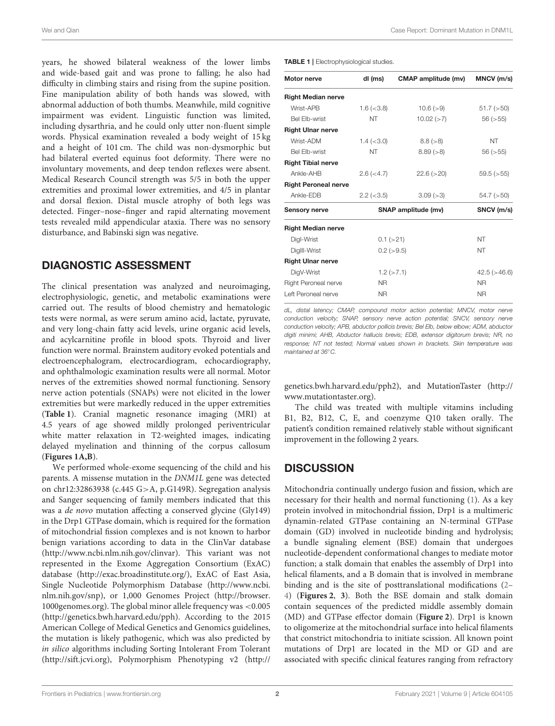years, he showed bilateral weakness of the lower limbs and wide-based gait and was prone to falling; he also had difficulty in climbing stairs and rising from the supine position. Fine manipulation ability of both hands was slowed, with abnormal adduction of both thumbs. Meanwhile, mild cognitive impairment was evident. Linguistic function was limited, including dysarthria, and he could only utter non-fluent simple words. Physical examination revealed a body weight of 15 kg and a height of 101 cm. The child was non-dysmorphic but had bilateral everted equinus foot deformity. There were no involuntary movements, and deep tendon reflexes were absent. Medical Research Council strength was 5/5 in both the upper extremities and proximal lower extremities, and 4/5 in plantar and dorsal flexion. Distal muscle atrophy of both legs was detected. Finger–nose–finger and rapid alternating movement tests revealed mild appendicular ataxia. There was no sensory disturbance, and Babinski sign was negative.

## DIAGNOSTIC ASSESSMENT

The clinical presentation was analyzed and neuroimaging, electrophysiologic, genetic, and metabolic examinations were carried out. The results of blood chemistry and hematologic tests were normal, as were serum amino acid, lactate, pyruvate, and very long-chain fatty acid levels, urine organic acid levels, and acylcarnitine profile in blood spots. Thyroid and liver function were normal. Brainstem auditory evoked potentials and electroencephalogram, electrocardiogram, echocardiography, and ophthalmologic examination results were all normal. Motor nerves of the extremities showed normal functioning. Sensory nerve action potentials (SNAPs) were not elicited in the lower extremities but were markedly reduced in the upper extremities (**[Table 1](#page-1-0)**). Cranial magnetic resonance imaging (MRI) at 4.5 years of age showed mildly prolonged periventricular white matter relaxation in T2-weighted images, indicating delayed myelination and thinning of the corpus callosum (**[Figures 1A,B](#page-2-0)**).

We performed whole-exome sequencing of the child and his parents. A missense mutation in the DNM1L gene was detected on chr12:32863938 (c.445 G>A, p.G149R). Segregation analysis and Sanger sequencing of family members indicated that this was a de novo mutation affecting a conserved glycine (Gly149) in the Drp1 GTPase domain, which is required for the formation of mitochondrial fission complexes and is not known to harbor benign variations according to data in the ClinVar database [\(http://www.ncbi.nlm.nih.gov/clinvar\)](http://www.ncbi.nlm.nih.gov/clinvar). This variant was not represented in the Exome Aggregation Consortium (ExAC) database [\(http://exac.broadinstitute.org/\)](http://exac.broadinstitute.org/), ExAC of East Asia, Single Nucleotide Polymorphism Database [\(http://www.ncbi.](http://www.ncbi.nlm.nih.gov/snp) [nlm.nih.gov/snp\)](http://www.ncbi.nlm.nih.gov/snp), or 1,000 Genomes Project [\(http://browser.](http://browser.1000genomes.org) [1000genomes.org\)](http://browser.1000genomes.org). The global minor allele frequency was <0.005 [\(http://genetics.bwh.harvard.edu/pph\)](http://genetics.bwh.harvard.edu/pph). According to the 2015 American College of Medical Genetics and Genomics guidelines, the mutation is likely pathogenic, which was also predicted by in silico algorithms including Sorting Intolerant From Tolerant [\(http://sift.jcvi.org\)](http://sift.jcvi.org), Polymorphism Phenotyping v2 [\(http://](http://genetics.bwh.harvard.edu/pph2)

<span id="page-1-0"></span>TABLE 1 | Electrophysiological studies.

| Motor nerve                 | dl (ms)             | <b>CMAP</b> amplitude (mv) | MNCV (m/s)         |  |
|-----------------------------|---------------------|----------------------------|--------------------|--|
| <b>Right Median nerve</b>   |                     |                            |                    |  |
| Wrist-APB                   | $1.6 \; (<3.8)$     | 10.6 (>9)                  | $51.7$ ( $>50$ )   |  |
| Bel Flb-wrist               | <b>NT</b>           | 10.02 (>7)                 | 56 (> 55)          |  |
| <b>Right Ulnar nerve</b>    |                     |                            |                    |  |
| Wrist-ADM                   | $1.4 \; (< 3.0)$    | 8.8 (> 8)                  | NT                 |  |
| <b>Bel Elb-wrist</b>        | <b>NT</b>           | 8.89 (> 8)                 | 56 (> 55)          |  |
| <b>Right Tibial nerve</b>   |                     |                            |                    |  |
| Ankle-AHB                   | 2.6 (< 4.7)         | 22.6 (>20)                 | 59.5 (>55)         |  |
| <b>Right Peroneal nerve</b> |                     |                            |                    |  |
| Ankle-EDB                   | $2.2$ ( $<$ 3.5)    | 3.09 (>3)                  | $54.7$ ( $>50$ )   |  |
| <b>Sensory nerve</b>        | SNAP amplitude (mv) |                            | SNCV (m/s)         |  |
| <b>Right Median nerve</b>   |                     |                            |                    |  |
| Digl-Wrist                  | $0.1$ ( $>21$ )     |                            | NT                 |  |
| DigIII-Wrist                | $0.2$ ( $>9.5$ )    |                            | NT                 |  |
| <b>Right Ulnar nerve</b>    |                     |                            |                    |  |
| DigV-Wrist                  | $1.2$ ( $>7.1$ )    |                            | $42.5$ ( $>46.6$ ) |  |
| Right Peroneal nerve        | NR.                 |                            | <b>NR</b>          |  |
| Left Peroneal nerve         | <b>NR</b>           |                            | <b>NR</b>          |  |

dL, distal latency; CMAP, compound motor action potential; MNCV, motor nerve conduction velocity; SNAP, sensory nerve action potential; SNCV, sensory nerve conduction velocity; APB, abductor pollicis brevis; Bel Elb, below elbow; ADM, abductor digiti minimi; AHB, Abductor hallucis brevis; EDB, extensor digitorum brevis; NR, no response; NT not tested; Normal values shown in brackets. Skin temperature was maintained at 36◦C.

[genetics.bwh.harvard.edu/pph2\)](http://genetics.bwh.harvard.edu/pph2), and MutationTaster [\(http://](http://www.mutationtaster.org) [www.mutationtaster.org\)](http://www.mutationtaster.org).

The child was treated with multiple vitamins including B1, B2, B12, C, E, and coenzyme Q10 taken orally. The patient's condition remained relatively stable without significant improvement in the following 2 years.

## **DISCUSSION**

Mitochondria continually undergo fusion and fission, which are necessary for their health and normal functioning [\(1\)](#page-5-0). As a key protein involved in mitochondrial fission, Drp1 is a multimeric dynamin-related GTPase containing an N-terminal GTPase domain (GD) involved in nucleotide binding and hydrolysis; a bundle signaling element (BSE) domain that undergoes nucleotide-dependent conformational changes to mediate motor function; a stalk domain that enables the assembly of Drp1 into helical filaments, and a B domain that is involved in membrane binding and is the site of posttranslational modifications [\(2–](#page-5-1) [4\)](#page-5-4) (**[Figures 2](#page-2-1)**, **[3](#page-3-0)**). Both the BSE domain and stalk domain contain sequences of the predicted middle assembly domain (MD) and GTPase effector domain (**[Figure 2](#page-2-1)**). Drp1 is known to oligomerize at the mitochondrial surface into helical filaments that constrict mitochondria to initiate scission. All known point mutations of Drp1 are located in the MD or GD and are associated with specific clinical features ranging from refractory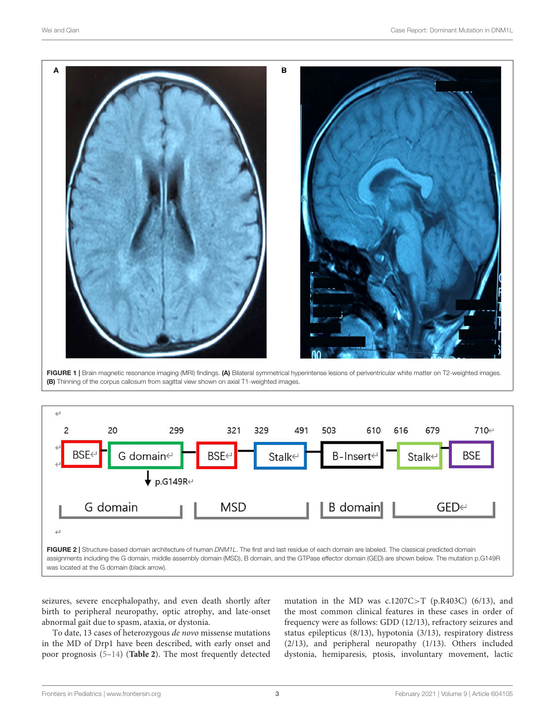

<span id="page-2-0"></span>FIGURE 1 | Brain magnetic resonance imaging (MRI) findings. (A) Bilateral symmetrical hyperintense lesions of periventricular white matter on T2-weighted images. (B) Thinning of the corpus callosum from sagittal view shown on axial T1-weighted images.



<span id="page-2-1"></span>seizures, severe encephalopathy, and even death shortly after birth to peripheral neuropathy, optic atrophy, and late-onset abnormal gait due to spasm, ataxia, or dystonia.

To date, 13 cases of heterozygous de novo missense mutations in the MD of Drp1 have been described, with early onset and poor prognosis [\(5–](#page-5-5)[14\)](#page-5-6) (**[Table 2](#page-4-0)**). The most frequently detected

mutation in the MD was c.1207C>T (p.R403C) (6/13), and the most common clinical features in these cases in order of frequency were as follows: GDD (12/13), refractory seizures and status epilepticus (8/13), hypotonia (3/13), respiratory distress (2/13), and peripheral neuropathy (1/13). Others included dystonia, hemiparesis, ptosis, involuntary movement, lactic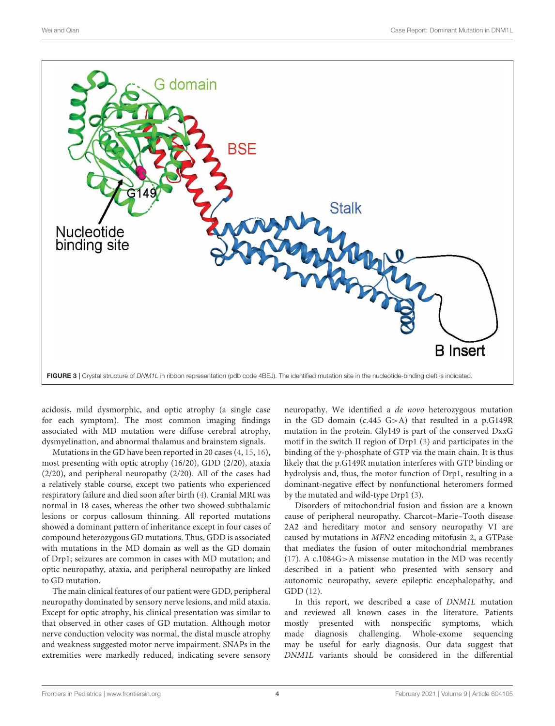

<span id="page-3-0"></span>acidosis, mild dysmorphic, and optic atrophy (a single case for each symptom). The most common imaging findings associated with MD mutation were diffuse cerebral atrophy, dysmyelination, and abnormal thalamus and brainstem signals.

Mutations in the GD have been reported in 20 cases [\(4,](#page-5-4) [15,](#page-5-7) [16\)](#page-5-8), most presenting with optic atrophy (16/20), GDD (2/20), ataxia (2/20), and peripheral neuropathy (2/20). All of the cases had a relatively stable course, except two patients who experienced respiratory failure and died soon after birth [\(4\)](#page-5-4). Cranial MRI was normal in 18 cases, whereas the other two showed subthalamic lesions or corpus callosum thinning. All reported mutations showed a dominant pattern of inheritance except in four cases of compound heterozygous GD mutations. Thus, GDD is associated with mutations in the MD domain as well as the GD domain of Drp1; seizures are common in cases with MD mutation; and optic neuropathy, ataxia, and peripheral neuropathy are linked to GD mutation.

The main clinical features of our patient were GDD, peripheral neuropathy dominated by sensory nerve lesions, and mild ataxia. Except for optic atrophy, his clinical presentation was similar to that observed in other cases of GD mutation. Although motor nerve conduction velocity was normal, the distal muscle atrophy and weakness suggested motor nerve impairment. SNAPs in the extremities were markedly reduced, indicating severe sensory neuropathy. We identified a de novo heterozygous mutation in the GD domain (c.445 G>A) that resulted in a p.G149R mutation in the protein. Gly149 is part of the conserved DxxG motif in the switch II region of Drp1 [\(3\)](#page-5-2) and participates in the binding of the  $\gamma$ -phosphate of GTP via the main chain. It is thus likely that the p.G149R mutation interferes with GTP binding or hydrolysis and, thus, the motor function of Drp1, resulting in a dominant-negative effect by nonfunctional heteromers formed by the mutated and wild-type Drp1 [\(3\)](#page-5-2).

Disorders of mitochondrial fusion and fission are a known cause of peripheral neuropathy. Charcot–Marie–Tooth disease 2A2 and hereditary motor and sensory neuropathy VI are caused by mutations in MFN2 encoding mitofusin 2, a GTPase that mediates the fusion of outer mitochondrial membranes [\(17\)](#page-5-9). A c.1084G>A missense mutation in the MD was recently described in a patient who presented with sensory and autonomic neuropathy, severe epileptic encephalopathy, and GDD [\(12\)](#page-5-10).

In this report, we described a case of DNM1L mutation and reviewed all known cases in the literature. Patients mostly presented with nonspecific symptoms, which made diagnosis challenging. Whole-exome sequencing may be useful for early diagnosis. Our data suggest that DNM1L variants should be considered in the differential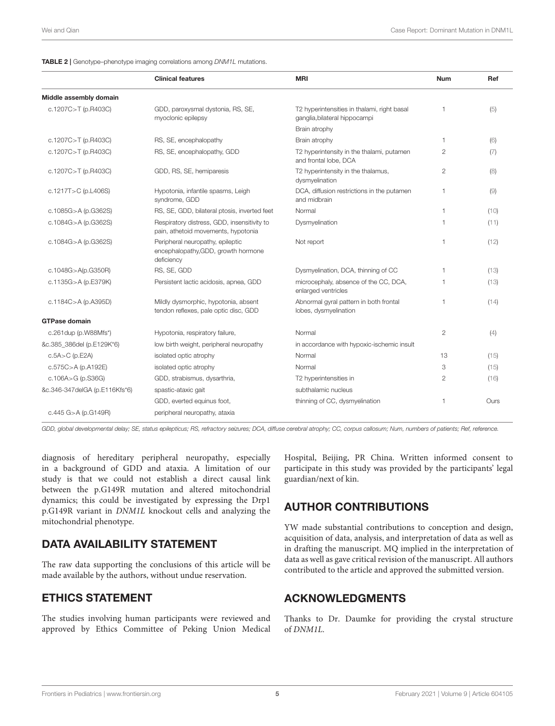<span id="page-4-0"></span>TABLE 2 | Genotype–phenotype imaging correlations among DNM1L mutations.

|                               | <b>Clinical features</b>                                                              | <b>MRI</b>                                                                   | <b>Num</b>     | Ref  |
|-------------------------------|---------------------------------------------------------------------------------------|------------------------------------------------------------------------------|----------------|------|
| Middle assembly domain        |                                                                                       |                                                                              |                |      |
| c.1207C>T (p.R403C)           | GDD, paroxysmal dystonia, RS, SE,<br>myoclonic epilepsy                               | T2 hyperintensities in thalami, right basal<br>ganglia, bilateral hippocampi | $\mathbf{1}$   | (5)  |
|                               |                                                                                       | Brain atrophy                                                                |                |      |
| c.1207C>T (p.R403C)           | RS, SE, encephalopathy                                                                | Brain atrophy                                                                | $\mathbf{1}$   | (6)  |
| c.1207C>T (p.R403C)           | RS, SE, encephalopathy, GDD                                                           | T2 hyperintensity in the thalami, putamen<br>and frontal lobe, DCA           | $\overline{2}$ | (7)  |
| c.1207C>T (p.R403C)           | GDD, RS, SE, hemiparesis                                                              | T2 hyperintensity in the thalamus,<br>dysmyelination                         | $\overline{2}$ | (8)  |
| c.1217T>C (p.L406S)           | Hypotonia, infantile spasms, Leigh<br>syndrome, GDD                                   | DCA, diffusion restrictions in the putamen<br>and midbrain                   | $\mathbf{1}$   | (9)  |
| c.1085G>A (p.G362S)           | RS, SE, GDD, bilateral ptosis, inverted feet                                          | Normal                                                                       | $\mathbf{1}$   | (10) |
| c.1084G>A (p.G362S)           | Respiratory distress, GDD, insensitivity to<br>pain, athetoid movements, hypotonia    | Dysmyelination                                                               | $\mathbf{1}$   | (11) |
| c.1084G>A (p.G362S)           | Peripheral neuropathy, epileptic<br>encephalopathy, GDD, growth hormone<br>deficiency | Not report                                                                   | $\mathbf{1}$   | (12) |
| c.1048G>A(p.G350R)            | RS, SE, GDD                                                                           | Dysmyelination, DCA, thinning of CC                                          | $\mathbf{1}$   | (13) |
| c.1135G>A (p.E379K)           | Persistent lactic acidosis, apnea, GDD                                                | microcephaly, absence of the CC, DCA,<br>enlarged ventricles                 | 1              | (13) |
| c.1184C>A (p.A395D)           | Mildly dysmorphic, hypotonia, absent<br>tendon reflexes, pale optic disc, GDD         | Abnormal gyral pattern in both frontal<br>lobes, dysmyelination              | 1              | (14) |
| <b>GTPase domain</b>          |                                                                                       |                                                                              |                |      |
| c.261 dup (p. W88Mfs*)        | Hypotonia, respiratory failure,                                                       | Normal                                                                       | $\overline{2}$ | (4)  |
| &c.385 386del (p.E129K*6)     | low birth weight, peripheral neuropathy                                               | in accordance with hypoxic-ischemic insult                                   |                |      |
| $c.5A > C$ (p.E2A)            | isolated optic atrophy                                                                | Normal                                                                       | 13             | (15) |
| $c.575C > A$ (p.A192E)        | isolated optic atrophy                                                                | Normal                                                                       | 3              | (15) |
| c.106A>G (p.S36G)             | GDD, strabismus, dysarthria,                                                          | T2 hyperintensities in                                                       | $\overline{2}$ | (16) |
| &c.346-347delGA (p.E116Kfs*6) | spastic-ataxic gait                                                                   | subthalamic nucleus                                                          |                |      |
|                               | GDD, everted equinus foot,                                                            | thinning of CC, dysmyelination                                               | 1              | Ours |
| c.445 G>A (p.G149R)           | peripheral neuropathy, ataxia                                                         |                                                                              |                |      |

GDD, global developmental delay; SE, status epilepticus; RS, refractory seizures; DCA, diffuse cerebral atrophy; CC, corpus callosum; Num, numbers of patients; Ref, reference.

diagnosis of hereditary peripheral neuropathy, especially in a background of GDD and ataxia. A limitation of our study is that we could not establish a direct causal link between the p.G149R mutation and altered mitochondrial dynamics; this could be investigated by expressing the Drp1 p.G149R variant in DNM1L knockout cells and analyzing the mitochondrial phenotype.

# DATA AVAILABILITY STATEMENT

The raw data supporting the conclusions of this article will be made available by the authors, without undue reservation.

# ETHICS STATEMENT

The studies involving human participants were reviewed and approved by Ethics Committee of Peking Union Medical

Hospital, Beijing, PR China. Written informed consent to participate in this study was provided by the participants' legal guardian/next of kin.

# AUTHOR CONTRIBUTIONS

YW made substantial contributions to conception and design, acquisition of data, analysis, and interpretation of data as well as in drafting the manuscript. MQ implied in the interpretation of data as well as gave critical revision of the manuscript. All authors contributed to the article and approved the submitted version.

## ACKNOWLEDGMENTS

Thanks to Dr. Daumke for providing the crystal structure of DNM1L.